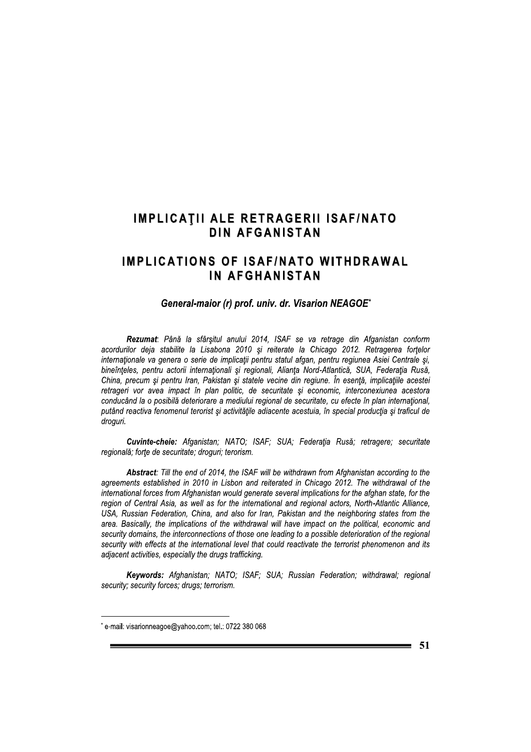## **IMPLICATII ALE RETRAGERII ISAF/NATO DIN AFGANISTAN**

# **IMPLICATIONS OF ISAF/NATO WITHDRAWAL** IN AFGHANISTAN

#### General-maior (r) prof. univ. dr. Visarion NEAGOE\*

Rezumat: Până la sfârșitul anului 2014, ISAF se va retrage din Afganistan conform acordurilor deja stabilite la Lisabona 2010 și reiterate la Chicago 2012. Retragerea fortelor internaționale va genera o serie de implicații pentru statul afgan, pentru regiunea Asiei Centrale și, bineînțeles, pentru actorii internaționali și regionali, Alianța Nord-Atlantică, SUA, Federația Rusă, China, precum și pentru Iran, Pakistan și statele vecine din regiune. În esență, implicațiile acestei retrageri vor avea impact în plan politic, de securitate și economic, interconexiunea acestora conducând la o posibilă deteriorare a mediului regional de securitate, cu efecte în plan international, putând reactiva fenomenul terorist și activitătile adiacente acestuia, în special productia și traficul de droguri.

Cuvinte-cheie: Afganistan; NATO; ISAF; SUA; Federatia Rusă; retragere; securitate regională; forțe de securitate; droguri; terorism.

Abstract: Till the end of 2014, the ISAF will be withdrawn from Afghanistan according to the agreements established in 2010 in Lisbon and reiterated in Chicago 2012. The withdrawal of the international forces from Afghanistan would generate several implications for the afghan state, for the region of Central Asia, as well as for the international and regional actors, North-Atlantic Alliance, USA, Russian Federation, China, and also for Iran, Pakistan and the neighboring states from the area. Basically, the implications of the withdrawal will have impact on the political, economic and security domains, the interconnections of those one leading to a possible deterioration of the regional security with effects at the international level that could reactivate the terrorist phenomenon and its adiacent activities, especially the drugs trafficking.

Keywords: Afghanistan; NATO; ISAF; SUA; Russian Federation; withdrawal; regional security; security forces; drugs; terrorism.

e-mail: visarionneagoe@yahoo.com; tel.: 0722 380 068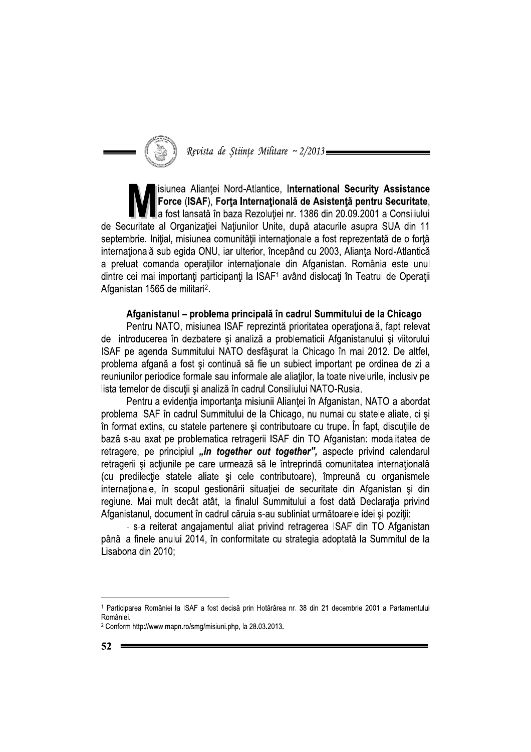

isiunea Aliantei Nord-Atlantice, International Security Assistance Force (ISAF). Forta Internatională de Asistență pentru Securitate. a fost lansată în baza Rezoluției nr. 1386 din 20.09.2001 a Consiliului de Securitate al Organizației Națiunilor Unite, după atacurile asupra SUA din 11 septembrie. Inițial, misiunea comunității internaționale a fost reprezentată de o forță internațională sub egida ONU, iar ulterior, începând cu 2003, Alianța Nord-Atlantică a preluat comanda operațiilor internaționale din Afganistan. România este unul dintre cei mai importanți participanți la ISAF1 având dislocați în Teatrul de Operații Afganistan 1565 de militari<sup>2</sup>.

## Afganistanul – problema principală în cadrul Summitului de la Chicago

Pentru NATO, misiunea ISAF reprezintă prioritatea operațională, fapt relevat de introducerea în dezbatere și analiză a problematicii Afganistanului și viitorului ISAF pe agenda Summitului NATO desfășurat la Chicago în mai 2012. De altfel, problema afgană a fost și continuă să fie un subiect important pe ordinea de zi a reuniunilor periodice formale sau informale ale aliatilor, la toate nivelurile, inclusiv pe lista temelor de discuții și analiză în cadrul Consiliului NATO-Rusia.

Pentru a evidenția importanța misiunii Alianței în Afganistan, NATO a abordat problema ISAF în cadrul Summitului de la Chicago, nu numai cu statele aliate, ci și în format extins, cu statele partenere și contributoare cu trupe. În fapt, discuțiile de bază s-au axat pe problematica retragerii ISAF din TO Afganistan: modalitatea de retragere, pe principiul "in together out together", aspecte privind calendarul retragerii și acțiunile pe care urmează să le întreprindă comunitatea internațională (cu predilecție statele aliate și cele contributoare), împreună cu organismele internaționale, în scopul gestionării situației de securitate din Afganistan și din regiune. Mai mult decât atât, la finalul Summitului a fost dată Declarația privind Afganistanul, document în cadrul căruia s-au subliniat următoarele idei și pozitii:

- s-a reiterat angajamentul aliat privind retragerea ISAF din TO Afganistan până la finele anului 2014, în conformitate cu strategia adoptată la Summitul de la Lisabona din 2010;

<sup>1</sup> Participarea României la ISAF a fost decisă prin Hotărârea nr. 38 din 21 decembrie 2001 a Parlamentului României.

<sup>&</sup>lt;sup>2</sup> Conform http://www.mapn.ro/smg/misiuni.php, la 28.03.2013.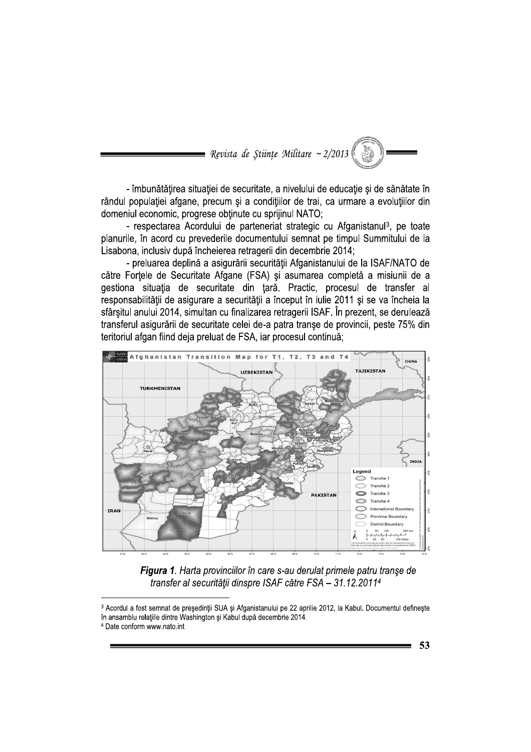

- îmbunătățirea situației de securitate, a nivelului de educație și de sănătate în rândul populației afgane, precum și a condițiilor de trai, ca urmare a evoluțiilor din domeniul economic, progrese obținute cu sprijinul NATO;

- respectarea Acordului de parteneriat strategic cu Afganistanul<sup>3</sup>, pe toate planurile, în acord cu prevederile documentului semnat pe timpul Summitului de la Lisabona, inclusiv după încheierea retragerii din decembrie 2014;

- preluarea deplină a asigurării securității Afganistanului de la ISAF/NATO de către Forțele de Securitate Afgane (FSA) și asumarea completă a misiunii de a gestiona situația de securitate din țară. Practic, procesul de transfer al responsabilității de asigurare a securității a început în iulie 2011 și se va încheia la sfârșitul anului 2014, simultan cu finalizarea retragerii ISAF. În prezent, se derulează transferul asigurării de securitate celei de-a patra transe de provincii, peste 75% din teritoriul afgan fiind deja preluat de FSA, iar procesul continuă;



Figura 1. Harta provinciilor în care s-au derulat primele patru transe de transfer al securității dinspre ISAF către FSA - 31.12.2011<sup>4</sup>

<sup>3</sup> Acordul a fost semnat de președinții SUA și Afganistanului pe 22 aprilie 2012, la Kabul. Documentul definește în ansamblu relațiile dintre Washington și Kabul după decembrie 2014.

<sup>&</sup>lt;sup>4</sup> Date conform www.nato.int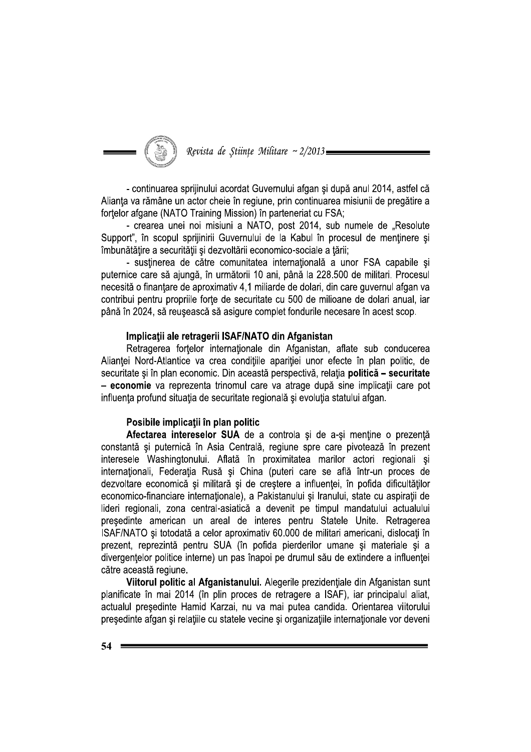Revista de Științe Militare ~ 2/2013=

- continuarea sprijinului acordat Guvernului afgan și după anul 2014, astfel că Alianta va rămâne un actor cheie în regiune, prin continuarea misiunii de pregătire a fortelor afgane (NATO Training Mission) în parteneriat cu FSA;

- crearea unei noi misiuni a NATO, post 2014, sub numele de "Resolute Support", în scopul sprijinirii Guvernului de la Kabul în procesul de menținere și îmbunătătire a securității și dezvoltării economico-sociale a tării:

- sustinerea de către comunitatea internatională a unor FSA capabile și puternice care să ajungă, în următorii 10 ani, până la 228.500 de militari. Procesul necesită o finanțare de aproximativ 4,1 miliarde de dolari, din care guvernul afgan va contribui pentru propriile forte de securitate cu 500 de milioane de dolari anual, iar până în 2024, să reușească să asigure complet fondurile necesare în acest scop.

#### Implicații ale retragerii ISAF/NATO din Afganistan

Retragerea fortelor internationale din Afganistan, aflate sub conducerea Alianței Nord-Atlantice va crea condițiile apariției unor efecte în plan politic, de securitate și în plan economic. Din această perspectivă, relația politică - securitate - economie va reprezenta trinomul care va atrage după sine implicații care pot influenta profund situatia de securitate regională și evoluția statului afgan.

## Posibile implicații în plan politic

Afectarea intereselor SUA de a controla și de a-și menține o prezență constantă și puternică în Asia Centrală, regiune spre care pivotează în prezent interesele Washingtonului. Aflată în proximitatea marilor actori regionali și internaționali, Federația Rusă și China (puteri care se află într-un proces de dezvoltare economică și militară și de creștere a influenței, în pofida dificultăților economico-financiare internationale), a Pakistanului și Iranului, state cu aspirații de lideri regionali, zona central-asiatică a devenit pe timpul mandatului actualului presedinte american un areal de interes pentru Statele Unite. Retragerea ISAF/NATO si totodată a celor aproximativ 60.000 de militari americani, dislocati în prezent, reprezintă pentru SUA (în pofida pierderilor umane și materiale și a divergentelor politice interne) un pas înapoi pe drumul său de extindere a influenței către această regiune.

Viitorul politic al Afganistanului. Alegerile prezidențiale din Afganistan sunt planificate în mai 2014 (în plin proces de retragere a ISAF), iar principalul aliat, actualul președinte Hamid Karzai, nu va mai putea candida. Orientarea viitorului presedinte afgan și relațiile cu statele vecine și organizațiile internaționale vor deveni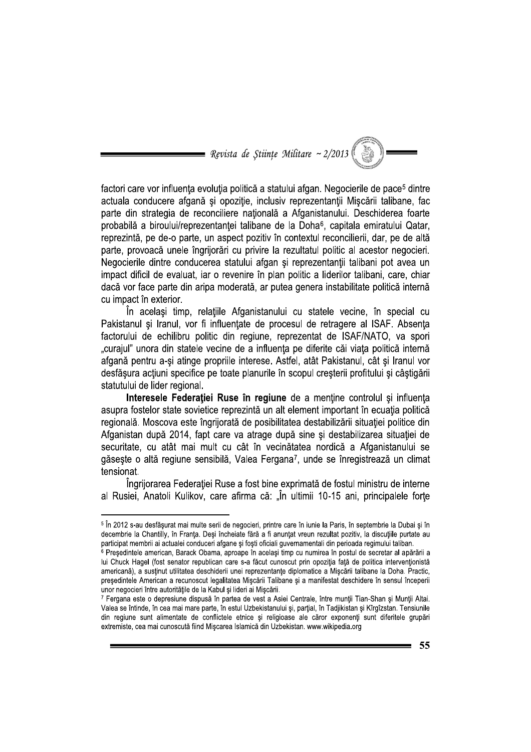= Revista de Stiințe Militare ~ 2/2013

factori care vor influența evoluția politică a statului afgan. Negocierile de pace<sup>5</sup> dintre actuala conducere afgană și opozitie, inclusiv reprezentanții Miscării talibane, fac parte din strategia de reconciliere natională a Afganistanului. Deschiderea foarte probabilă a biroului/reprezentanței talibane de la Doha<sup>6</sup>, capitala emiratului Qatar, reprezintă, pe de-o parte, un aspect pozitiv în contextul reconcilierii, dar, pe de altă parte, provoaçă unele îngrijorări cu privire la rezultatul politic al acestor negocieri. Negocierile dintre conducerea statului afgan și reprezentanții talibani pot avea un impact dificil de evaluat, iar o revenire în plan politic a liderilor talibani, care, chiar dacă vor face parte din aripa moderată, ar putea genera instabilitate politică internă cu impact în exterior.

În același timp, relațiile Afganistanului cu statele vecine, în special cu Pakistanul și Iranul, vor fi influențate de procesul de retragere al ISAF. Absența factorului de echilibru politic din regiune, reprezentat de ISAF/NATO, va spori "curajul" unora din statele vecine de a influența pe diferite căi viața politică internă afgană pentru a-și atinge propriile interese. Astfel, atât Pakistanul, cât și Iranul vor desfășura acțiuni specifice pe toate planurile în scopul creșterii profitului și câștigării statutului de lider regional.

Interesele Federatiei Ruse în regiune de a mentine controlul și influenta asupra fostelor state sovietice reprezintă un alt element important în ecuația politică regională. Moscova este îngrijorată de posibilitatea destabilizării situației politice din Afganistan după 2014, fapt care va atrage după sine și destabilizarea situației de securitate, cu atât mai mult cu cât în vecinătatea nordică a Afganistanului se găsește o altă regiune sensibilă, Valea Fergana<sup>7</sup>, unde se înregistrează un climat tensionat.

Îngrijorarea Federației Ruse a fost bine exprimată de fostul ministru de interne al Rusiei, Anatoli Kulikov, care afirma că: "În ultimii 10-15 ani, principalele forțe

<sup>&</sup>lt;sup>5</sup> În 2012 s-au desfășurat mai multe serii de negocieri, printre care în iunie la Paris, în septembrie la Dubai și în decembrie la Chantilly, în Franta. Desi încheiate fără a fi anuntat vreun rezultat pozitiv, la discutiile purtate au participat membrii ai actualei conduceri afgane și foști oficiali guvernamentali din perioada regimului taliban.

<sup>&</sup>lt;sup>6</sup> Presedintele american, Barack Obama, aproape în același timp cu numirea în postul de secretar al apărării a lui Chuck Hagel (fost senator republican care s-a făcut cunoscut prin opoziția față de politica interventionistă americană), a susținut utilitatea deschiderii unei reprezentanțe diplomatice a Mișcării talibane la Doha. Practic, președintele American a recunoscut legalitatea Mișcării Talibane și a manifestat deschidere în sensul începerii unor negocieri între autoritățile de la Kabul și lideri ai Mișcării.

<sup>7</sup> Fergana este o depresiune dispusă în partea de vest a Asiei Centrale, între munții Tian-Shan și Munții Altai. Valea se întinde, în cea mai mare parte, în estul Uzbekistanului și, parțial, în Tadjikistan și Kîrgîzstan. Tensiunile din regiune sunt alimentate de conflictele etnice si religioase ale căror exponenți sunt diferitele grupări extremiste, cea mai cunoscută fiind Mișcarea Islamică din Uzbekistan. www.wikipedia.org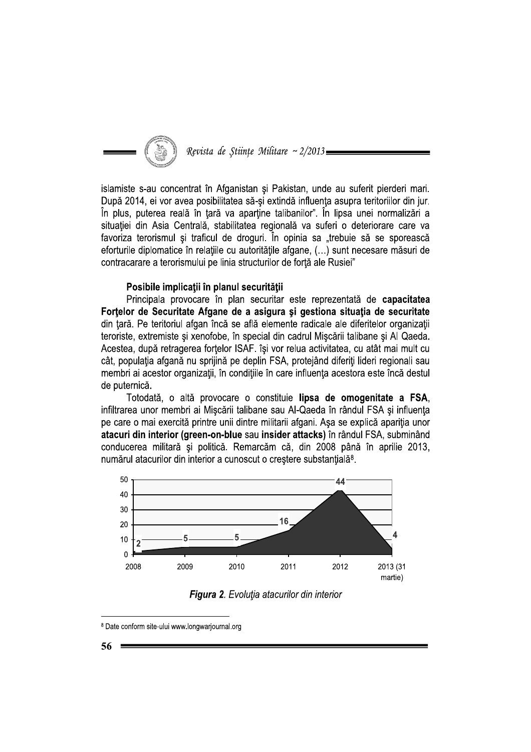

Revista de Stiințe Militare ~ 2/2013

islamiste s-au concentrat în Afganistan și Pakistan, unde au suferit pierderi mari. După 2014, ei vor avea posibilitatea să-si extindă influenta asupra teritoriilor din jur. În plus, puterea reală în țară va aparține talibanilor". În lipsa unei normalizări a situației din Asia Centrală, stabilitatea regională va suferi o deteriorare care va favoriza terorismul și traficul de droguri. În opinia sa "trebuie să se sporească eforturile diplomatice în relatiile cu autoritătile afgane. (...) sunt necesare măsuri de contracarare a terorismului pe linia structurilor de fortă ale Rusiei"

### Posibile implicații în planul securității

Principala provocare în plan securitar este reprezentată de capacitatea Fortelor de Securitate Afgane de a asigura și gestiona situația de securitate din tară. Pe teritoriul afgan încă se află elemente radicale ale diferitelor organizații teroriste, extremiste și xenofobe, în special din cadrul Mișcării talibane și Al Qaeda. Acestea, după retragerea forțelor ISAF. își vor relua activitatea, cu atât mai mult cu cât, populația afgană nu sprijină pe deplin FSA, protejând diferiți lideri regionali sau membri ai acestor organizații, în condițiile în care influența acestora este încă destul de puternică.

Totodată, o altă provocare o constituie lipsa de omogenitate a FSA. infiltrarea unor membri ai Mișcării talibane sau Al-Qaeda în rândul FSA și influența pe care o mai exercită printre unii dintre militarii afgani. Asa se explică apariția unor atacuri din interior (green-on-blue sau insider attacks) în rândul FSA, subminând conducerea militară și politică. Remarcăm că, din 2008 până în aprilie 2013, numărul atacurilor din interior a cunoscut o creștere substanțială<sup>8</sup>.



**Figura 2.** Evolutia atacurilor din interior

<sup>&</sup>lt;sup>8</sup> Date conform site-ului www.longwarjournal.org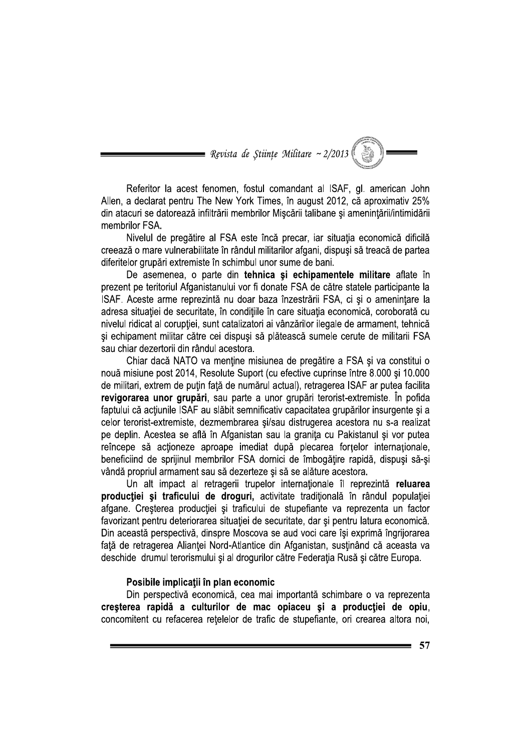= Revista de Științe Militare ~ 2/2013  $|$ 

Referitor la acest fenomen, fostul comandant al ISAF, gl. american John Allen, a declarat pentru The New York Times, în august 2012, că aproximativ 25% din atacuri se datorează infiltrării membrilor Mișcării talibane și amenințării/intimidării membrilor FSA.

Nivelul de pregătire al FSA este încă precar, iar situația economică dificilă creează o mare vulnerabilitate în rândul militarilor afgani, dispuși să treacă de partea diferitelor grupări extremiste în schimbul unor sume de bani.

De asemenea, o parte din tehnica și echipamentele militare aflate în prezent pe teritoriul Afganistanului vor fi donate FSA de către statele participante la ISAF. Aceste arme reprezintă nu doar baza înzestrării FSA, ci și o amenintare la adresa situației de securitate, în condițiile în care situația economică, coroborată cu nivelul ridicat al corupției, sunt catalizatori ai vânzărilor ilegale de armament, tehnică și echipament militar către cei dispuși să plătească sumele cerute de militarii FSA sau chiar dezertorii din rândul acestora.

Chiar dacă NATO va menține misiunea de pregătire a FSA și va constitui o nouă misiune post 2014, Resolute Suport (cu efective cuprinse între 8.000 și 10.000 de militari, extrem de putin față de numărul actual), retragerea ISAF ar putea facilita revigorarea unor grupări, sau parte a unor grupări terorist-extremiste. În pofida faptului că acțiunile ISAF au slăbit semnificativ capacitatea grupărilor insurgente și a celor terorist-extremiste, dezmembrarea și/sau distrugerea acestora nu s-a realizat pe deplin. Acestea se află în Afganistan sau la granița cu Pakistanul și vor putea reîncepe să acționeze aproape imediat după plecarea forțelor internaționale, beneficiind de sprijinul membrilor FSA dornici de îmbogățire rapidă, dispuși să-și vândă propriul armament sau să dezerteze și să se alăture acestora.

Un alt impact al retragerii trupelor internationale îl reprezintă reluarea producției și traficului de droguri, activitate tradițională în rândul populației afgane. Creșterea producției și traficului de stupefiante va reprezenta un factor favorizant pentru deteriorarea situației de securitate, dar și pentru latura economică. Din această perspectivă, dinspre Moscova se aud voci care își exprimă îngrijorarea față de retragerea Alianței Nord-Atlantice din Afganistan, susținând că aceasta va deschide drumul terorismului și al drogurilor către Federația Rusă și către Europa.

### Posibile implicații în plan economic

Din perspectivă economică, cea mai importantă schimbare o va reprezenta creșterea rapidă a culturilor de mac opiaceu și a producției de opiu, concomitent cu refacerea retelelor de trafic de stupefiante, ori crearea altora noi,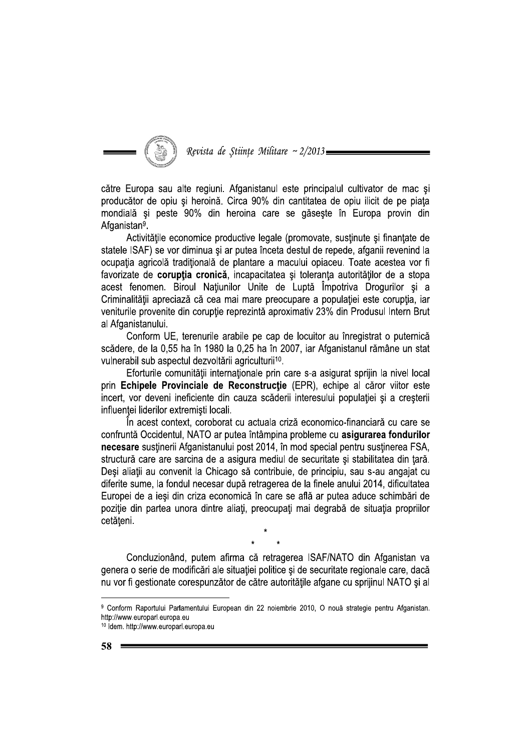Revista de Stiințe Militare ~ 2/2013

către Europa sau alte regiuni. Afganistanul este principalul cultivator de mac și producător de opiu și heroină. Circa 90% din cantitatea de opiu ilicit de pe piața mondială și peste 90% din heroina care se găsește în Europa provin din Afganistan<sup>9</sup>.

Activitățile economice productive legale (promovate, susținute și finanțate de statele ISAF) se vor diminua si ar putea înceta destul de repede, afganii revenind la ocupația agricolă tradițională de plantare a macului opiaceu. Toate acestea vor fi favorizate de corupția cronică, incapacitatea și toleranța autorităților de a stopa acest fenomen. Biroul Națiunilor Unite de Luptă Împotriva Drogurilor și a Criminalității apreciază că cea mai mare preocupare a populației este corupția, iar veniturile provenite din coruptie reprezintă aproximativ 23% din Produsul Intern Brut al Afganistanului.

Conform UE, terenurile arabile pe cap de locuitor au înregistrat o puternică scădere, de la 0.55 ha în 1980 la 0.25 ha în 2007, iar Afganistanul rămâne un stat vulnerabil sub aspectul dezvoltării agriculturii<sup>10</sup>.

Eforturile comunității internaționale prin care s-a asigurat sprijin la nivel local prin Echipele Provinciale de Reconstrucție (EPR), echipe al căror viitor este incert, vor deveni ineficiente din cauza scăderii interesului populației și a cresterii influentei liderilor extremisti locali.

În acest context, coroborat cu actuala criză economico-financiară cu care se confruntă Occidentul, NATO ar putea întâmpina probleme cu asigurarea fondurilor necesare sustinerii Afganistanului post 2014, în mod special pentru sustinerea FSA, structură care are sarcina de a asigura mediul de securitate și stabilitatea din țară. Deși aliații au convenit la Chicago să contribuie, de principiu, sau s-au angajat cu diferite sume, la fondul necesar după retragerea de la finele anului 2014, dificultatea Europei de a ieși din criza economică în care se află ar putea aduce schimbări de poziție din partea unora dintre aliați, preocupați mai degrabă de situația propriilor cetățeni.

Concluzionând, putem afirma că retragerea ISAF/NATO din Afganistan va genera o serie de modificări ale situației politice și de securitate regionale care, dacă nu vor fi gestionate corespunzător de către autoritățile afgane cu sprijinul NATO și al

<sup>9</sup> Conform Raportului Parlamentului European din 22 noiembrie 2010, O nouă strategie pentru Afganistan. http://www.europarl.europa.eu

<sup>10</sup> Idem. http://www.europarl.europa.eu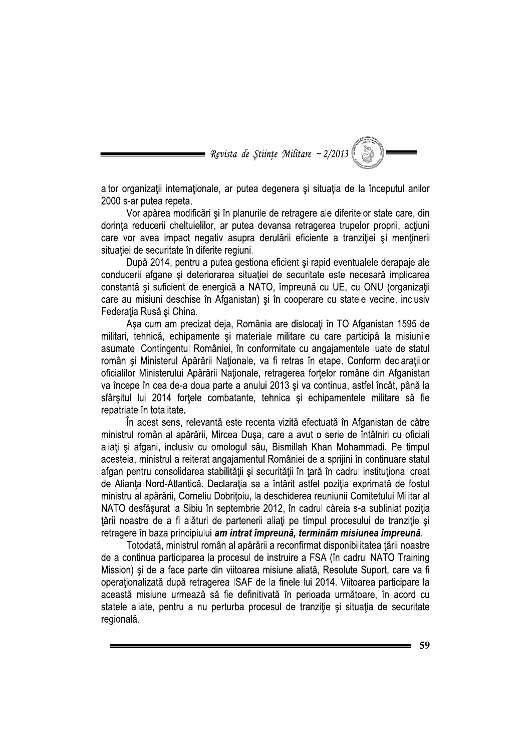= Revista de Științe Militare ~ 2/2013 (

altor organizații internaționale, ar putea degenera și situația de la începutul anilor 2000 s-ar putea repeta.

Vor apărea modificări și în planurile de retragere ale diferitelor state care, din dorinta reducerii cheltuielilor, ar putea devansa retragerea trupelor proprii, actiuni care vor avea impact negativ asupra derulării eficiente a tranziției și menținerii situatiei de securitate în diferite regiuni.

După 2014, pentru a putea gestiona eficient și rapid eventualele derapaje ale conducerii afgane și deteriorarea situației de securitate este necesară implicarea constantă și suficient de energică a NATO, împreună cu UE, cu ONU (organizații care au misiuni deschise în Afganistan) și în cooperare cu statele vecine, inclusiv Federația Rusă și China.

Așa cum am precizat deja, România are dislocați în TO Afganistan 1595 de militari, tehnică, echipamente și materiale militare cu care participă la misiunile asumate. Contingentul României, în conformitate cu angaiamentele luate de statul român și Ministerul Apărării Naționale, va fi retras în etape. Conform declarațiilor oficialilor Ministerului Apărării Naționale, retragerea forțelor române din Afganistan va începe în cea de-a doua parte a anului 2013 și va continua, astfel încât, până la sfârsitul lui 2014 fortele combatante, tehnica și echipamentele militare să fie repatriate în totalitate.

În acest sens, relevantă este recenta vizită efectuată în Afganistan de către ministrul român al apărării, Mircea Dușa, care a avut o serie de întâlniri cu oficiali aliați și afgani, inclusiv cu omologul său, Bismillah Khan Mohammadi. Pe timpul acesteia, ministrul a reiterat angajamentul României de a sprijini în continuare statul afgan pentru consolidarea stabilității și securității în țară în cadrul instituțional creat de Alianța Nord-Atlantică. Declarația sa a întărit astfel poziția exprimată de fostul ministru al apărării, Corneliu Dobrițoiu, la deschiderea reuniunii Comitetului Militar al NATO desfăsurat la Sibiu în septembrie 2012, în cadrul căreia s-a subliniat pozitia tării noastre de a fi alături de partenerii aliați pe timpul procesului de tranziție și retragere în baza principiului am intrat împreună, terminăm misiunea împreună.

Totodată, ministrul român al apărării a reconfirmat disponibilitatea țării noastre de a continua participarea la procesul de instruire a FSA (în cadrul NATO Training Mission) și de a face parte din viitoarea misiune aliată, Resolute Suport, care va fi operaționalizată după retragerea ISAF de la finele lui 2014. Viitoarea participare la această misiune urmează să fie definitivată în perioada următoare, în acord cu statele aliate, pentru a nu perturba procesul de tranziție și situația de securitate regională.